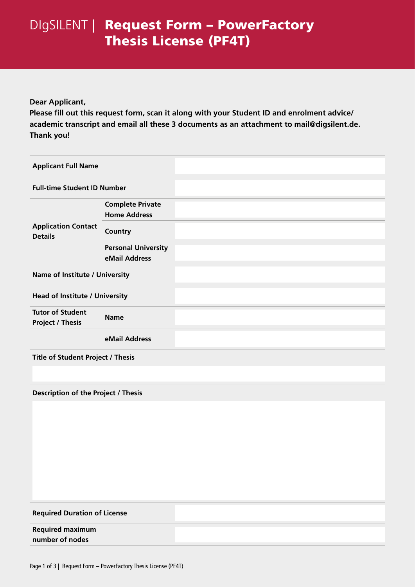# DIgSILENT | Request Form - PowerFactory Thesis License (PF4T)

### **Dear Applicant,**

**Please fill out this request form, scan it along with your Student ID and enrolment advice/ academic transcript and email all these 3 documents as an attachment to mail@digsilent.de. Thank you!**

| <b>Applicant Full Name</b>                         |                                                |  |  |
|----------------------------------------------------|------------------------------------------------|--|--|
| <b>Full-time Student ID Number</b>                 |                                                |  |  |
| <b>Application Contact</b><br><b>Details</b>       | <b>Complete Private</b><br><b>Home Address</b> |  |  |
|                                                    | Country                                        |  |  |
|                                                    | <b>Personal University</b><br>eMail Address    |  |  |
| Name of Institute / University                     |                                                |  |  |
| <b>Head of Institute / University</b>              |                                                |  |  |
| <b>Tutor of Student</b><br><b>Project / Thesis</b> | <b>Name</b>                                    |  |  |
|                                                    | eMail Address                                  |  |  |
| <b>Title of Student Project / Thesis</b>           |                                                |  |  |

#### **Description of the Project / Thesis**

| <b>Required Duration of License</b> |  |
|-------------------------------------|--|
| <b>Required maximum</b>             |  |
| number of nodes                     |  |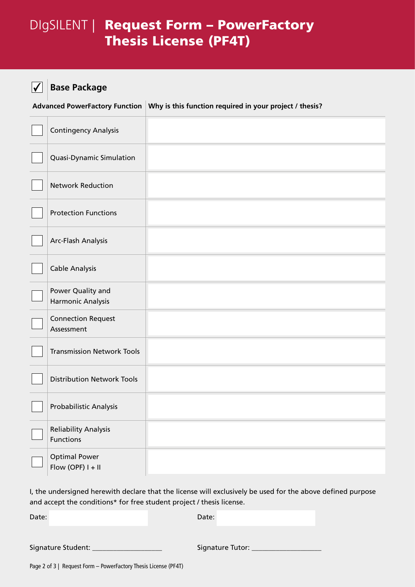## DIgSILENT | Request Form - PowerFactory Thesis License (PF4T)

#### **Base Package**  $\overline{\mathbf{v}}$

**Advanced PowerFactory Function Why is this function required in your project / thesis?**

| <b>Contingency Analysis</b>                     |  |
|-------------------------------------------------|--|
| Quasi-Dynamic Simulation                        |  |
| <b>Network Reduction</b>                        |  |
| <b>Protection Functions</b>                     |  |
| Arc-Flash Analysis                              |  |
| <b>Cable Analysis</b>                           |  |
| Power Quality and<br>Harmonic Analysis          |  |
| <b>Connection Request</b><br>Assessment         |  |
| <b>Transmission Network Tools</b>               |  |
| <b>Distribution Network Tools</b>               |  |
| Probabilistic Analysis                          |  |
| <b>Reliability Analysis</b><br><b>Functions</b> |  |
| <b>Optimal Power</b><br>Flow (OPF) $I + II$     |  |

I, the undersigned herewith declare that the license will exclusively be used for the above defined purpose and accept the conditions\* for free student project / thesis license.

Date: Date:

Signature Student: \_\_\_\_\_\_\_\_\_\_\_\_\_\_\_\_\_\_\_\_ Signature Tutor: \_\_\_\_\_\_\_\_\_\_\_\_\_\_\_\_\_\_\_\_